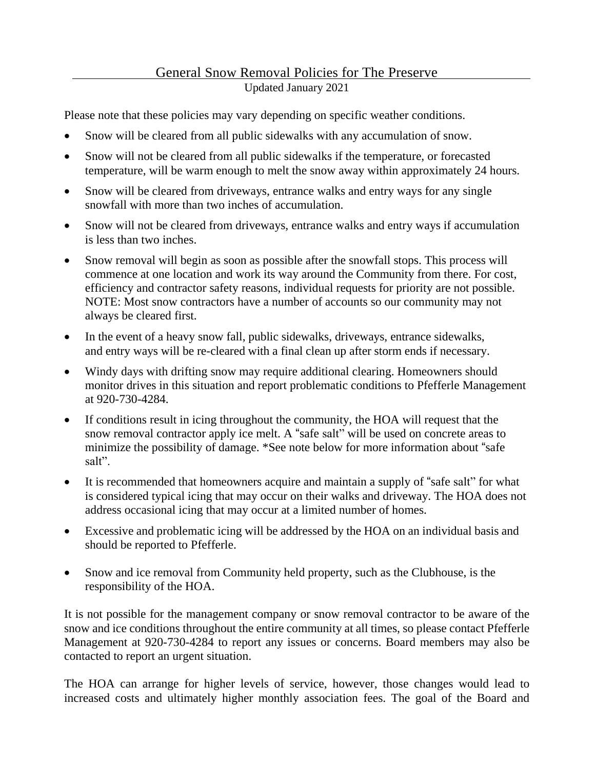## General Snow Removal Policies for The Preserve Updated January 2021

Please note that these policies may vary depending on specific weather conditions.

- Snow will be cleared from all public sidewalks with any accumulation of snow.
- Snow will not be cleared from all public sidewalks if the temperature, or forecasted temperature, will be warm enough to melt the snow away within approximately 24 hours.
- Snow will be cleared from driveways, entrance walks and entry ways for any single snowfall with more than two inches of accumulation.
- Snow will not be cleared from driveways, entrance walks and entry ways if accumulation is less than two inches.
- Snow removal will begin as soon as possible after the snowfall stops. This process will commence at one location and work its way around the Community from there. For cost, efficiency and contractor safety reasons, individual requests for priority are not possible. NOTE: Most snow contractors have a number of accounts so our community may not always be cleared first.
- In the event of a heavy snow fall, public sidewalks, driveways, entrance sidewalks, and entry ways will be re-cleared with a final clean up after storm ends if necessary.
- Windy days with drifting snow may require additional clearing. Homeowners should monitor drives in this situation and report problematic conditions to Pfefferle Management at 920-730-4284.
- If conditions result in icing throughout the community, the HOA will request that the snow removal contractor apply ice melt. A "safe salt" will be used on concrete areas to minimize the possibility of damage. \*See note below for more information about "safe salt".
- It is recommended that homeowners acquire and maintain a supply of "safe salt" for what is considered typical icing that may occur on their walks and driveway. The HOA does not address occasional icing that may occur at a limited number of homes.
- Excessive and problematic icing will be addressed by the HOA on an individual basis and should be reported to Pfefferle.
- Snow and ice removal from Community held property, such as the Clubhouse, is the responsibility of the HOA.

It is not possible for the management company or snow removal contractor to be aware of the snow and ice conditions throughout the entire community at all times, so please contact Pfefferle Management at 920-730-4284 to report any issues or concerns. Board members may also be contacted to report an urgent situation.

The HOA can arrange for higher levels of service, however, those changes would lead to increased costs and ultimately higher monthly association fees. The goal of the Board and